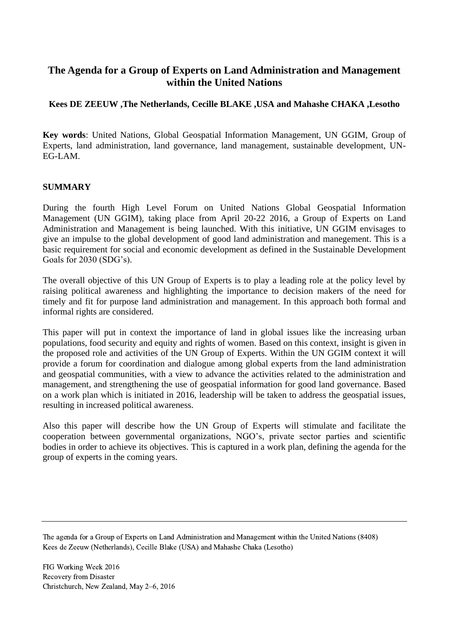# **The Agenda for a Group of Experts on Land Administration and Management within the United Nations**

### **Kees DE ZEEUW ,The Netherlands, Cecille BLAKE ,USA and Mahashe CHAKA ,Lesotho**

**Key words**: United Nations, Global Geospatial Information Management, UN GGIM, Group of Experts, land administration, land governance, land management, sustainable development, UN-EG-LAM.

#### **SUMMARY**

During the fourth High Level Forum on United Nations Global Geospatial Information Management (UN GGIM), taking place from April 20-22 2016, a Group of Experts on Land Administration and Management is being launched. With this initiative, UN GGIM envisages to give an impulse to the global development of good land administration and manegement. This is a basic requirement for social and economic development as defined in the Sustainable Development Goals for 2030 (SDG's).

The overall objective of this UN Group of Experts is to play a leading role at the policy level by raising political awareness and highlighting the importance to decision makers of the need for timely and fit for purpose land administration and management. In this approach both formal and informal rights are considered.

This paper will put in context the importance of land in global issues like the increasing urban populations, food security and equity and rights of women. Based on this context, insight is given in the proposed role and activities of the UN Group of Experts. Within the UN GGIM context it will provide a forum for coordination and dialogue among global experts from the land administration and geospatial communities, with a view to advance the activities related to the administration and management, and strengthening the use of geospatial information for good land governance. Based on a work plan which is initiated in 2016, leadership will be taken to address the geospatial issues, resulting in increased political awareness.

Also this paper will describe how the UN Group of Experts will stimulate and facilitate the cooperation between governmental organizations, NGO's, private sector parties and scientific bodies in order to achieve its objectives. This is captured in a work plan, defining the agenda for the group of experts in the coming years.

The agenda for a Group of Experts on Land Administration and Management within the United Nations (8408) Kees de Zeeuw (Netherlands), Cecille Blake (USA) and Mahashe Chaka (Lesotho)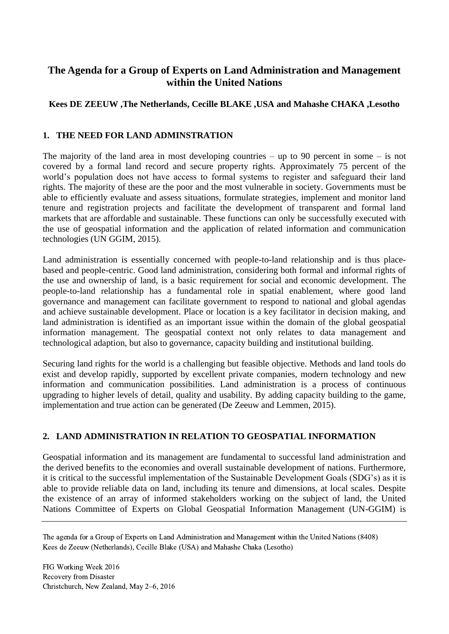# **The Agenda for a Group of Experts on Land Administration and Management within the United Nations**

## **Kees DE ZEEUW ,The Netherlands, Cecille BLAKE ,USA and Mahashe CHAKA ,Lesotho**

#### **1. THE NEED FOR LAND ADMINSTRATION**

The majority of the land area in most developing countries – up to 90 percent in some – is not covered by a formal land record and secure property rights. Approximately 75 percent of the world's population does not have access to formal systems to register and safeguard their land rights. The majority of these are the poor and the most vulnerable in society. Governments must be able to efficiently evaluate and assess situations, formulate strategies, implement and monitor land tenure and registration projects and facilitate the development of transparent and formal land markets that are affordable and sustainable. These functions can only be successfully executed with the use of geospatial information and the application of related information and communication technologies (UN GGIM, 2015).

Land administration is essentially concerned with people-to-land relationship and is thus placebased and people-centric. Good land administration, considering both formal and informal rights of the use and ownership of land, is a basic requirement for social and economic development. The people-to-land relationship has a fundamental role in spatial enablement, where good land governance and management can facilitate government to respond to national and global agendas and achieve sustainable development. Place or location is a key facilitator in decision making, and land administration is identified as an important issue within the domain of the global geospatial information management. The geospatial context not only relates to data management and technological adaption, but also to governance, capacity building and institutional building.

Securing land rights for the world is a challenging but feasible objective. Methods and land tools do exist and develop rapidly, supported by excellent private companies, modern technology and new information and communication possibilities. Land administration is a process of continuous upgrading to higher levels of detail, quality and usability. By adding capacity building to the game, implementation and true action can be generated (De Zeeuw and Lemmen, 2015).

#### **2. LAND ADMINISTRATION IN RELATION TO GEOSPATIAL INFORMATION**

Geospatial information and its management are fundamental to successful land administration and the derived benefits to the economies and overall sustainable development of nations. Furthermore, it is critical to the successful implementation of the Sustainable Development Goals (SDG's) as it is able to provide reliable data on land, including its tenure and dimensions, at local scales. Despite the existence of an array of informed stakeholders working on the subject of land, the United Nations Committee of Experts on Global Geospatial Information Management (UN-GGIM) is

The agenda for a Group of Experts on Land Administration and Management within the United Nations (8408) Kees de Zeeuw (Netherlands), Cecille Blake (USA) and Mahashe Chaka (Lesotho)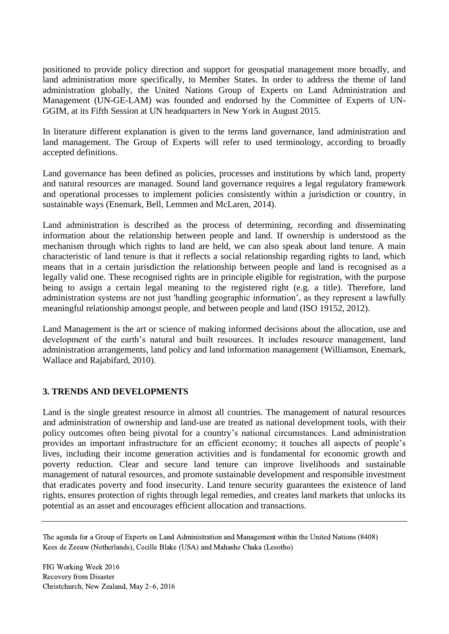positioned to provide policy direction and support for geospatial management more broadly, and land administration more specifically, to Member States. In order to address the theme of land administration globally, the United Nations Group of Experts on Land Administration and Management (UN-GE-LAM) was founded and endorsed by the Committee of Experts of UN-GGIM, at its Fifth Session at UN headquarters in New York in August 2015.

In literature different explanation is given to the terms land governance, land administration and land management. The Group of Experts will refer to used terminology, according to broadly accepted definitions.

Land governance has been defined as policies, processes and institutions by which land, property and natural resources are managed. Sound land governance requires a legal regulatory framework and operational processes to implement policies consistently within a jurisdiction or country, in sustainable ways (Enemark, Bell, Lemmen and McLaren, 2014).

Land administration is described as the process of determining, recording and disseminating information about the relationship between people and land. If ownership is understood as the mechanism through which rights to land are held, we can also speak about land tenure. A main characteristic of land tenure is that it reflects a social relationship regarding rights to land, which means that in a certain jurisdiction the relationship between people and land is recognised as a legally valid one. These recognised rights are in principle eligible for registration, with the purpose being to assign a certain legal meaning to the registered right (e.g. a title). Therefore, land administration systems are not just 'handling geographic information', as they represent a lawfully meaningful relationship amongst people, and between people and land (ISO 19152, 2012).

Land Management is the art or science of making informed decisions about the allocation, use and development of the earth's natural and built resources. It includes resource management, land administration arrangements, land policy and land information management (Williamson, Enemark, Wallace and Rajabifard, 2010).

#### **3. TRENDS AND DEVELOPMENTS**

Land is the single greatest resource in almost all countries. The management of natural resources and administration of ownership and land-use are treated as national development tools, with their policy outcomes often being pivotal for a country's national circumstances. Land administration provides an important infrastructure for an efficient economy; it touches all aspects of people's lives, including their income generation activities and is fundamental for economic growth and poverty reduction. Clear and secure land tenure can improve livelihoods and sustainable management of natural resources, and promote sustainable development and responsible investment that eradicates poverty and food insecurity. Land tenure security guarantees the existence of land rights, ensures protection of rights through legal remedies, and creates land markets that unlocks its potential as an asset and encourages efficient allocation and transactions.

The agenda for a Group of Experts on Land Administration and Management within the United Nations (8408) Kees de Zeeuw (Netherlands), Cecille Blake (USA) and Mahashe Chaka (Lesotho)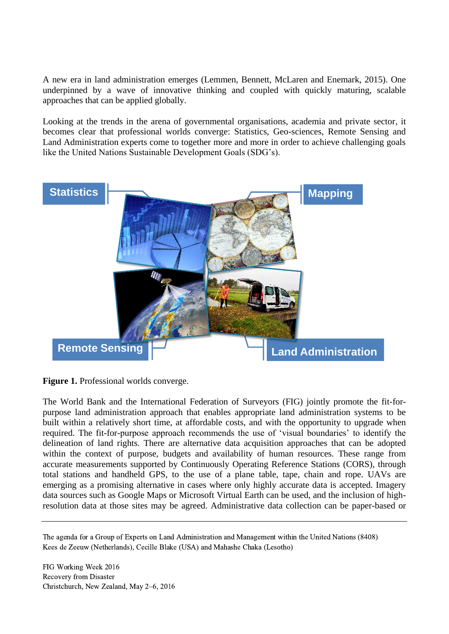A new era in land administration emerges (Lemmen, Bennett, McLaren and Enemark, 2015). One underpinned by a wave of innovative thinking and coupled with quickly maturing, scalable approaches that can be applied globally.

Looking at the trends in the arena of governmental organisations, academia and private sector, it becomes clear that professional worlds converge: Statistics, Geo-sciences, Remote Sensing and Land Administration experts come to together more and more in order to achieve challenging goals like the United Nations Sustainable Development Goals (SDG's).



**Figure 1.** Professional worlds converge.

The World Bank and the International Federation of Surveyors (FIG) jointly promote the fit-forpurpose land administration approach that enables appropriate land administration systems to be built within a relatively short time, at affordable costs, and with the opportunity to upgrade when required. The fit-for-purpose approach recommends the use of 'visual boundaries' to identify the delineation of land rights. There are alternative data acquisition approaches that can be adopted within the context of purpose, budgets and availability of human resources. These range from accurate measurements supported by Continuously Operating Reference Stations (CORS), through total stations and handheld GPS, to the use of a plane table, tape, chain and rope. UAVs are emerging as a promising alternative in cases where only highly accurate data is accepted. Imagery data sources such as Google Maps or Microsoft Virtual Earth can be used, and the inclusion of highresolution data at those sites may be agreed. Administrative data collection can be paper-based or

The agenda for a Group of Experts on Land Administration and Management within the United Nations (8408) Kees de Zeeuw (Netherlands), Cecille Blake (USA) and Mahashe Chaka (Lesotho)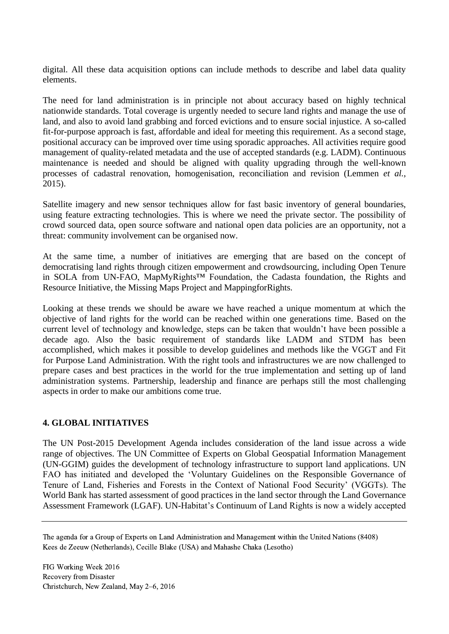digital. All these data acquisition options can include methods to describe and label data quality elements.

The need for land administration is in principle not about accuracy based on highly technical nationwide standards. Total coverage is urgently needed to secure land rights and manage the use of land, and also to avoid land grabbing and forced evictions and to ensure social injustice. A so-called fit-for-purpose approach is fast, affordable and ideal for meeting this requirement. As a second stage, positional accuracy can be improved over time using sporadic approaches. All activities require good management of quality-related metadata and the use of accepted standards (e.g. LADM). Continuous maintenance is needed and should be aligned with quality upgrading through the well-known processes of cadastral renovation, homogenisation, reconciliation and revision (Lemmen *et al.*, 2015).

Satellite imagery and new sensor techniques allow for fast basic inventory of general boundaries, using feature extracting technologies. This is where we need the private sector. The possibility of crowd sourced data, open source software and national open data policies are an opportunity, not a threat: community involvement can be organised now.

At the same time, a number of initiatives are emerging that are based on the concept of democratising land rights through citizen empowerment and crowdsourcing, including Open Tenure in SOLA from UN-FAO, MapMyRights™ Foundation, the Cadasta foundation, the Rights and Resource Initiative, the Missing Maps Project and MappingforRights.

Looking at these trends we should be aware we have reached a unique momentum at which the objective of land rights for the world can be reached within one generations time. Based on the current level of technology and knowledge, steps can be taken that wouldn't have been possible a decade ago. Also the basic requirement of standards like LADM and STDM has been accomplished, which makes it possible to develop guidelines and methods like the VGGT and Fit for Purpose Land Administration. With the right tools and infrastructures we are now challenged to prepare cases and best practices in the world for the true implementation and setting up of land administration systems. Partnership, leadership and finance are perhaps still the most challenging aspects in order to make our ambitions come true.

#### **4. GLOBAL INITIATIVES**

The UN Post-2015 Development Agenda includes consideration of the land issue across a wide range of objectives. The UN Committee of Experts on Global Geospatial Information Management (UN-GGIM) guides the development of technology infrastructure to support land applications. UN FAO has initiated and developed the 'Voluntary Guidelines on the Responsible Governance of Tenure of Land, Fisheries and Forests in the Context of National Food Security' (VGGTs). The World Bank has started assessment of good practices in the land sector through the Land Governance Assessment Framework (LGAF). UN-Habitat's Continuum of Land Rights is now a widely accepted

The agenda for a Group of Experts on Land Administration and Management within the United Nations (8408) Kees de Zeeuw (Netherlands), Cecille Blake (USA) and Mahashe Chaka (Lesotho)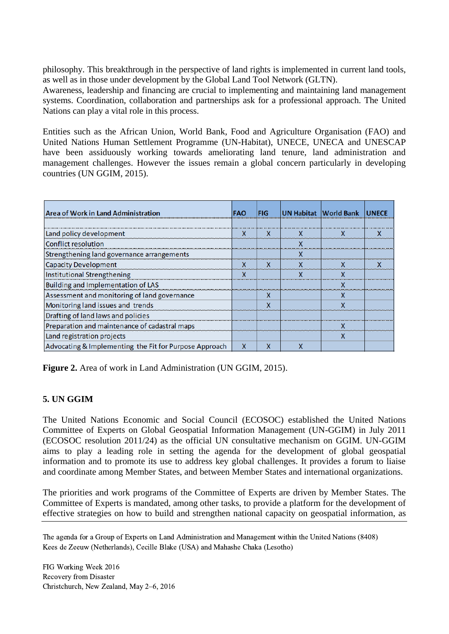philosophy. This breakthrough in the perspective of land rights is implemented in current land tools, as well as in those under development by the Global Land Tool Network (GLTN).

Awareness, leadership and financing are crucial to implementing and maintaining land management systems. Coordination, collaboration and partnerships ask for a professional approach. The United Nations can play a vital role in this process.

Entities such as the African Union, World Bank, Food and Agriculture Organisation (FAO) and United Nations Human Settlement Programme (UN-Habitat), UNECE, UNECA and UNESCAP have been assiduously working towards ameliorating land tenure, land administration and management challenges. However the issues remain a global concern particularly in developing countries (UN GGIM, 2015).

| Area of Work in Land Administration                    | FAO | <b>FIG</b> | UN Habitat World Bank | <b>UNECE</b> |
|--------------------------------------------------------|-----|------------|-----------------------|--------------|
|                                                        |     |            |                       |              |
| Land policy development                                |     | x          |                       |              |
| <b>Conflict resolution</b>                             |     |            |                       |              |
| Strengthening land governance arrangements             |     |            |                       |              |
| <b>Capacity Development</b>                            |     |            |                       |              |
| <b>Institutional Strengthening</b>                     |     |            |                       |              |
| <b>Building and Implementation of LAS</b>              |     |            |                       |              |
| Assessment and monitoring of land governance           |     |            |                       |              |
| Monitoring land issues and trends                      |     |            |                       |              |
| Drafting of land laws and policies                     |     |            |                       |              |
| Preparation and maintenance of cadastral maps          |     |            |                       |              |
| Land registration projects                             |     |            |                       |              |
| Advocating & Implementing the Fit for Purpose Approach |     | x          |                       |              |

**Figure 2.** Area of work in Land Administration (UN GGIM, 2015).

#### **5. UN GGIM**

The United Nations Economic and Social Council (ECOSOC) established the United Nations Committee of Experts on Global Geospatial Information Management (UN-GGIM) in July 2011 (ECOSOC resolution 2011/24) as the official UN consultative mechanism on GGIM. UN-GGIM aims to play a leading role in setting the agenda for the development of global geospatial information and to promote its use to address key global challenges. It provides a forum to liaise and coordinate among Member States, and between Member States and international organizations.

The priorities and work programs of the Committee of Experts are driven by Member States. The Committee of Experts is mandated, among other tasks, to provide a platform for the development of effective strategies on how to build and strengthen national capacity on geospatial information, as

The agenda for a Group of Experts on Land Administration and Management within the United Nations (8408) Kees de Zeeuw (Netherlands), Cecille Blake (USA) and Mahashe Chaka (Lesotho)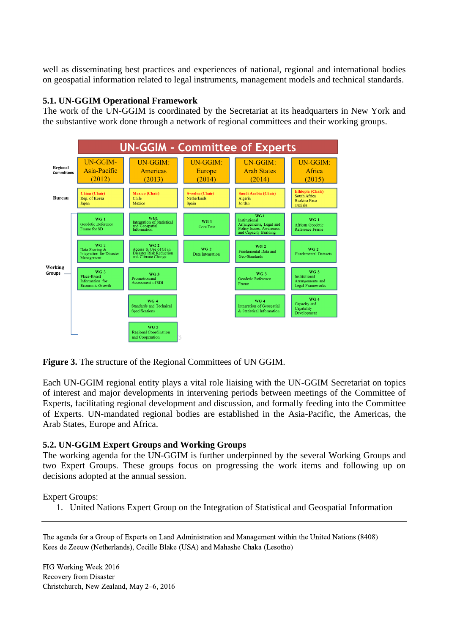well as disseminating best practices and experiences of national, regional and international bodies on geospatial information related to legal instruments, management models and technical standards.

#### **5.1. UN-GGIM Operational Framework**

The work of the UN-GGIM is coordinated by the Secretariat at its headquarters in New York and the substantive work done through a network of regional committees and their working groups.



**Figure 3.** The structure of the Regional Committees of UN GGIM.

Each UN-GGIM regional entity plays a vital role liaising with the UN-GGIM Secretariat on topics of interest and major developments in intervening periods between meetings of the Committee of Experts, facilitating regional development and discussion, and formally feeding into the Committee of Experts. UN-mandated regional bodies are established in the Asia-Pacific, the Americas, the Arab States, Europe and Africa.

#### **5.2. UN-GGIM Expert Groups and Working Groups**

The working agenda for the UN-GGIM is further underpinned by the several Working Groups and two Expert Groups. These groups focus on progressing the work items and following up on decisions adopted at the annual session.

Expert Groups:

1. United Nations Expert Group on the Integration of Statistical and Geospatial Information

The agenda for a Group of Experts on Land Administration and Management within the United Nations (8408) Kees de Zeeuw (Netherlands), Cecille Blake (USA) and Mahashe Chaka (Lesotho)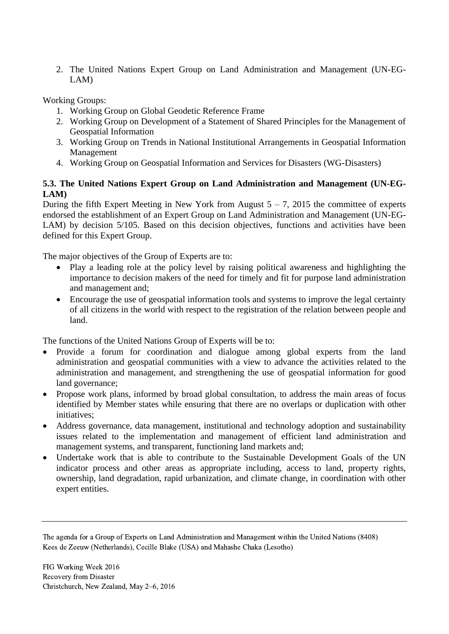2. The United Nations Expert Group on Land Administration and Management (UN-EG-LAM)

Working Groups:

- 1. Working Group on Global Geodetic Reference Frame
- 2. Working Group on Development of a Statement of Shared Principles for the Management of Geospatial Information
- 3. Working Group on Trends in National Institutional Arrangements in Geospatial Information Management
- 4. Working Group on Geospatial Information and Services for Disasters (WG-Disasters)

### **5.3. The United Nations Expert Group on Land Administration and Management (UN-EG-LAM)**

During the fifth Expert Meeting in New York from August  $5 - 7$ , 2015 the committee of experts endorsed the establishment of an Expert Group on Land Administration and Management (UN-EG-LAM) by decision 5/105. Based on this decision objectives, functions and activities have been defined for this Expert Group.

The major objectives of the Group of Experts are to:

- Play a leading role at the policy level by raising political awareness and highlighting the importance to decision makers of the need for timely and fit for purpose land administration and management and;
- Encourage the use of geospatial information tools and systems to improve the legal certainty of all citizens in the world with respect to the registration of the relation between people and land.

The functions of the United Nations Group of Experts will be to:

- Provide a forum for coordination and dialogue among global experts from the land administration and geospatial communities with a view to advance the activities related to the administration and management, and strengthening the use of geospatial information for good land governance;
- Propose work plans, informed by broad global consultation, to address the main areas of focus identified by Member states while ensuring that there are no overlaps or duplication with other initiatives;
- Address governance, data management, institutional and technology adoption and sustainability issues related to the implementation and management of efficient land administration and management systems, and transparent, functioning land markets and;
- Undertake work that is able to contribute to the Sustainable Development Goals of the UN indicator process and other areas as appropriate including, access to land, property rights, ownership, land degradation, rapid urbanization, and climate change, in coordination with other expert entities.

The agenda for a Group of Experts on Land Administration and Management within the United Nations (8408) Kees de Zeeuw (Netherlands), Cecille Blake (USA) and Mahashe Chaka (Lesotho)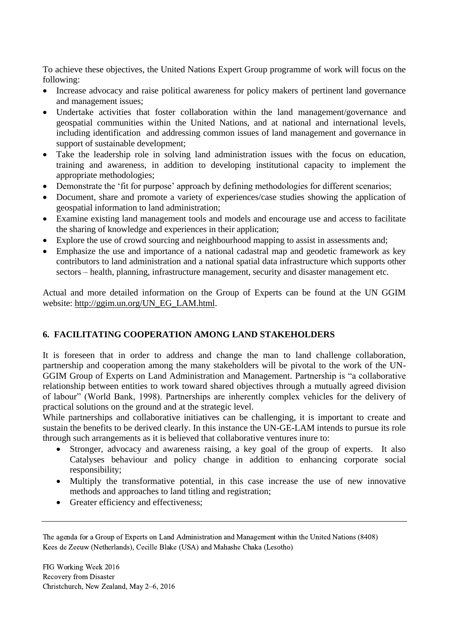To achieve these objectives, the United Nations Expert Group programme of work will focus on the following:

- Increase advocacy and raise political awareness for policy makers of pertinent land governance and management issues;
- Undertake activities that foster collaboration within the land management/governance and geospatial communities within the United Nations, and at national and international levels, including identification and addressing common issues of land management and governance in support of sustainable development;
- Take the leadership role in solving land administration issues with the focus on education, training and awareness, in addition to developing institutional capacity to implement the appropriate methodologies;
- Demonstrate the 'fit for purpose' approach by defining methodologies for different scenarios;
- Document, share and promote a variety of experiences/case studies showing the application of geospatial information to land administration;
- Examine existing land management tools and models and encourage use and access to facilitate the sharing of knowledge and experiences in their application;
- Explore the use of crowd sourcing and neighbourhood mapping to assist in assessments and;
- Emphasize the use and importance of a national cadastral map and geodetic framework as key contributors to land administration and a national spatial data infrastructure which supports other sectors – health, planning, infrastructure management, security and disaster management etc.

Actual and more detailed information on the Group of Experts can be found at the UN GGIM website: [http://ggim.un.org/UN\\_EG\\_LAM.html.](http://ggim.un.org/UN_EG_LAM.html)

## **6. FACILITATING COOPERATION AMONG LAND STAKEHOLDERS**

It is foreseen that in order to address and change the man to land challenge collaboration, partnership and cooperation among the many stakeholders will be pivotal to the work of the UN-GGIM Group of Experts on Land Administration and Management. Partnership is "a collaborative relationship between entities to work toward shared objectives through a mutually agreed division of labour" (World Bank, 1998). Partnerships are inherently complex vehicles for the delivery of practical solutions on the ground and at the strategic level.

While partnerships and collaborative initiatives can be challenging, it is important to create and sustain the benefits to be derived clearly. In this instance the UN-GE-LAM intends to pursue its role through such arrangements as it is believed that collaborative ventures inure to:

- Stronger, advocacy and awareness raising, a key goal of the group of experts. It also Catalyses behaviour and policy change in addition to enhancing corporate social responsibility;
- Multiply the transformative potential, in this case increase the use of new innovative methods and approaches to land titling and registration;
- Greater efficiency and effectiveness;

The agenda for a Group of Experts on Land Administration and Management within the United Nations (8408) Kees de Zeeuw (Netherlands), Cecille Blake (USA) and Mahashe Chaka (Lesotho)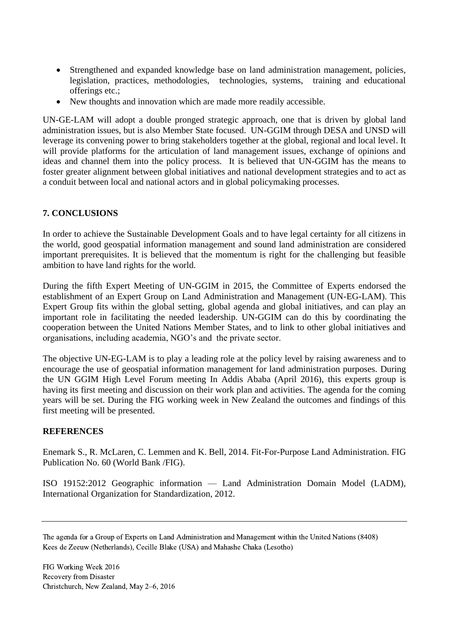- Strengthened and expanded knowledge base on land administration management, policies, legislation, practices, methodologies, technologies, systems, training and educational offerings etc.;
- New thoughts and innovation which are made more readily accessible.

UN-GE-LAM will adopt a double pronged strategic approach, one that is driven by global land administration issues, but is also Member State focused. UN-GGIM through DESA and UNSD will leverage its convening power to bring stakeholders together at the global, regional and local level. It will provide platforms for the articulation of land management issues, exchange of opinions and ideas and channel them into the policy process. It is believed that UN-GGIM has the means to foster greater alignment between global initiatives and national development strategies and to act as a conduit between local and national actors and in global policymaking processes.

### **7. CONCLUSIONS**

In order to achieve the Sustainable Development Goals and to have legal certainty for all citizens in the world, good geospatial information management and sound land administration are considered important prerequisites. It is believed that the momentum is right for the challenging but feasible ambition to have land rights for the world.

During the fifth Expert Meeting of UN-GGIM in 2015, the Committee of Experts endorsed the establishment of an Expert Group on Land Administration and Management (UN-EG-LAM). This Expert Group fits within the global setting, global agenda and global initiatives, and can play an important role in facilitating the needed leadership. UN-GGIM can do this by coordinating the cooperation between the United Nations Member States, and to link to other global initiatives and organisations, including academia, NGO's and the private sector.

The objective UN-EG-LAM is to play a leading role at the policy level by raising awareness and to encourage the use of geospatial information management for land administration purposes. During the UN GGIM High Level Forum meeting In Addis Ababa (April 2016), this experts group is having its first meeting and discussion on their work plan and activities. The agenda for the coming years will be set. During the FIG working week in New Zealand the outcomes and findings of this first meeting will be presented.

#### **REFERENCES**

Enemark S., R. McLaren, C. Lemmen and K. Bell, 2014. Fit-For-Purpose Land Administration. FIG Publication No. 60 (World Bank /FIG).

ISO 19152:2012 Geographic information — Land Administration Domain Model (LADM), International Organization for Standardization, 2012.

The agenda for a Group of Experts on Land Administration and Management within the United Nations (8408) Kees de Zeeuw (Netherlands), Cecille Blake (USA) and Mahashe Chaka (Lesotho)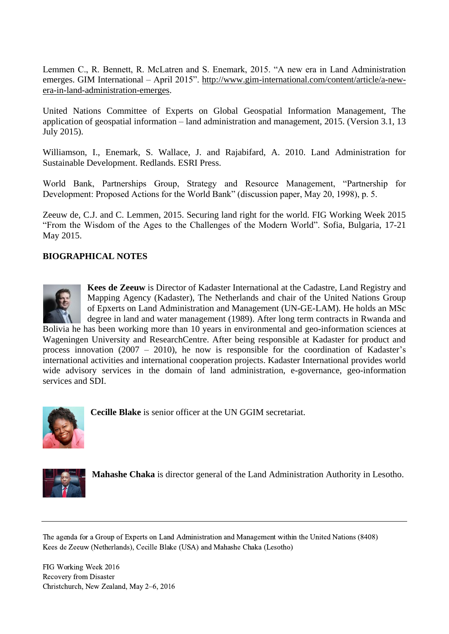Lemmen C., R. Bennett, R. McLatren and S. Enemark, 2015. "A new era in Land Administration emerges. GIM International – April 2015". [http://www.gim-international.com/content/article/a-new](http://www.gim-international.com/content/article/a-new-era-in-land-administration-emerges)[era-in-land-administration-emerges.](http://www.gim-international.com/content/article/a-new-era-in-land-administration-emerges)

United Nations Committee of Experts on Global Geospatial Information Management, The application of geospatial information – land administration and management, 2015. (Version 3.1, 13 July 2015).

Williamson, I., Enemark, S. Wallace, J. and Rajabifard, A. 2010. Land Administration for Sustainable Development. Redlands. ESRI Press.

World Bank, Partnerships Group, Strategy and Resource Management, "Partnership for Development: Proposed Actions for the World Bank" (discussion paper, May 20, 1998), p. 5.

Zeeuw de, C.J. and C. Lemmen, 2015. Securing land right for the world. FIG Working Week 2015 "From the Wisdom of the Ages to the Challenges of the Modern World". Sofia, Bulgaria, 17-21 May 2015.

#### **BIOGRAPHICAL NOTES**



**Kees de Zeeuw** is Director of Kadaster International at the Cadastre, Land Registry and Mapping Agency (Kadaster), The Netherlands and chair of the United Nations Group of Epxerts on Land Administration and Management (UN-GE-LAM). He holds an MSc degree in land and water management (1989). After long term contracts in Rwanda and

Bolivia he has been working more than 10 years in environmental and geo-information sciences at Wageningen University and ResearchCentre. After being responsible at Kadaster for product and process innovation (2007 – 2010), he now is responsible for the coordination of Kadaster's international activities and international cooperation projects. Kadaster International provides world wide advisory services in the domain of land administration, e-governance, geo-information services and SDI.



**Cecille Blake** is senior officer at the UN GGIM secretariat.



**Mahashe Chaka** is director general of the Land Administration Authority in Lesotho.

The agenda for a Group of Experts on Land Administration and Management within the United Nations (8408) Kees de Zeeuw (Netherlands), Cecille Blake (USA) and Mahashe Chaka (Lesotho)